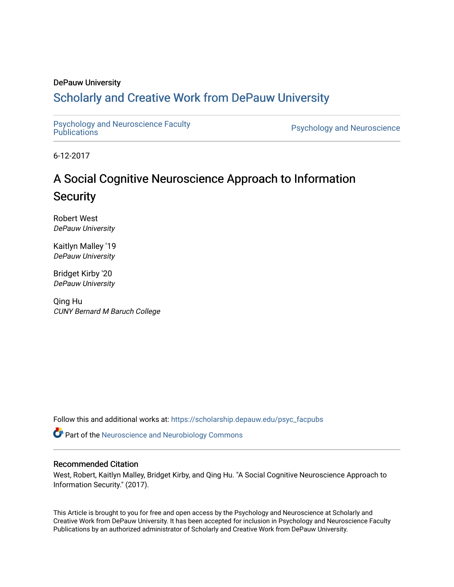### DePauw University

## Scholarly and [Creative Work from DePauw Univ](https://scholarship.depauw.edu/)ersity

Psychology and Neuroscience Faculty<br>Publications

Psychology and Neuroscience

6-12-2017

# A Social Cognitive Neuroscience Approach to Information **Security**

Robert West DePauw University

Kaitlyn Malley '19 DePauw University

Bridget Kirby '20 DePauw University

Qing Hu CUNY Bernard M Baruch College

Follow this and additional works at: [https://scholarship.depauw.edu/psyc\\_facpubs](https://scholarship.depauw.edu/psyc_facpubs?utm_source=scholarship.depauw.edu%2Fpsyc_facpubs%2F19&utm_medium=PDF&utm_campaign=PDFCoverPages)

Part of the [Neuroscience and Neurobiology Commons](https://network.bepress.com/hgg/discipline/55?utm_source=scholarship.depauw.edu%2Fpsyc_facpubs%2F19&utm_medium=PDF&utm_campaign=PDFCoverPages) 

### Recommended Citation

West, Robert, Kaitlyn Malley, Bridget Kirby, and Qing Hu. "A Social Cognitive Neuroscience Approach to Information Security." (2017).

This Article is brought to you for free and open access by the Psychology and Neuroscience at Scholarly and Creative Work from DePauw University. It has been accepted for inclusion in Psychology and Neuroscience Faculty Publications by an authorized administrator of Scholarly and Creative Work from DePauw University.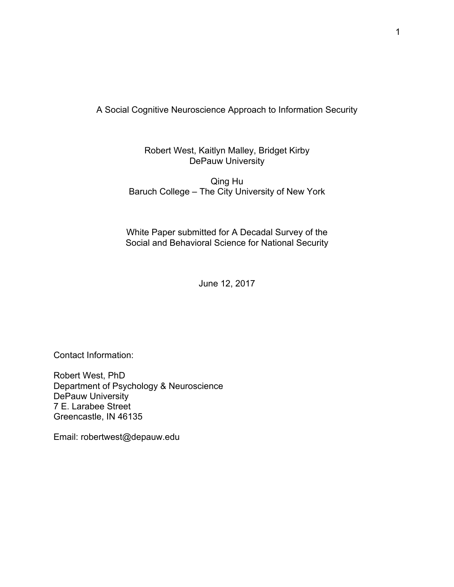A Social Cognitive Neuroscience Approach to Information Security

Robert West, Kaitlyn Malley, Bridget Kirby DePauw University

Qing Hu Baruch College – The City University of New York

White Paper submitted for A Decadal Survey of the Social and Behavioral Science for National Security

June 12, 2017

Contact Information:

Robert West, PhD Department of Psychology & Neuroscience DePauw University 7 E. Larabee Street Greencastle, IN 46135

Email: robertwest@depauw.edu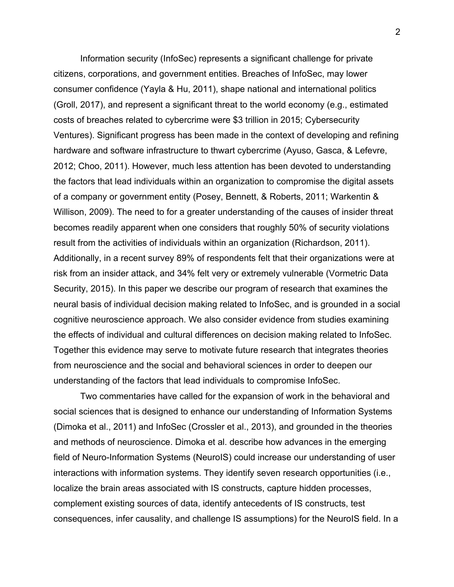Information security (InfoSec) represents a significant challenge for private citizens, corporations, and government entities. Breaches of InfoSec, may lower consumer confidence (Yayla & Hu, 2011), shape national and international politics (Groll, 2017), and represent a significant threat to the world economy (e.g., estimated costs of breaches related to cybercrime were \$3 trillion in 2015; Cybersecurity Ventures). Significant progress has been made in the context of developing and refining hardware and software infrastructure to thwart cybercrime (Ayuso, Gasca, & Lefevre, 2012; Choo, 2011). However, much less attention has been devoted to understanding the factors that lead individuals within an organization to compromise the digital assets of a company or government entity (Posey, Bennett, & Roberts, 2011; Warkentin & Willison, 2009). The need to for a greater understanding of the causes of insider threat becomes readily apparent when one considers that roughly 50% of security violations result from the activities of individuals within an organization (Richardson, 2011). Additionally, in a recent survey 89% of respondents felt that their organizations were at risk from an insider attack, and 34% felt very or extremely vulnerable (Vormetric Data Security, 2015). In this paper we describe our program of research that examines the neural basis of individual decision making related to InfoSec, and is grounded in a social cognitive neuroscience approach. We also consider evidence from studies examining the effects of individual and cultural differences on decision making related to InfoSec. Together this evidence may serve to motivate future research that integrates theories from neuroscience and the social and behavioral sciences in order to deepen our understanding of the factors that lead individuals to compromise InfoSec.

Two commentaries have called for the expansion of work in the behavioral and social sciences that is designed to enhance our understanding of Information Systems (Dimoka et al., 2011) and InfoSec (Crossler et al., 2013), and grounded in the theories and methods of neuroscience. Dimoka et al. describe how advances in the emerging field of Neuro-Information Systems (NeuroIS) could increase our understanding of user interactions with information systems. They identify seven research opportunities (i.e., localize the brain areas associated with IS constructs, capture hidden processes, complement existing sources of data, identify antecedents of IS constructs, test consequences, infer causality, and challenge IS assumptions) for the NeuroIS field. In a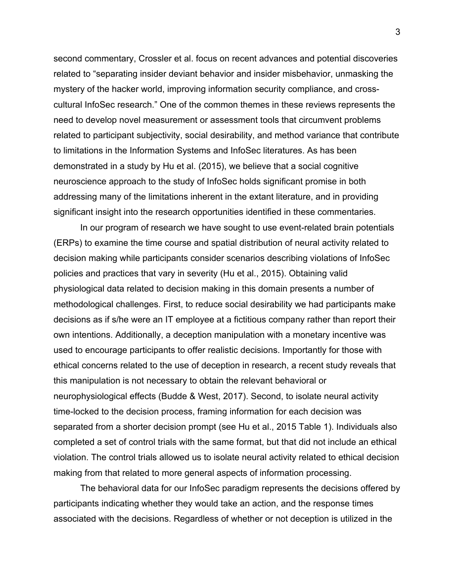second commentary, Crossler et al. focus on recent advances and potential discoveries related to "separating insider deviant behavior and insider misbehavior, unmasking the mystery of the hacker world, improving information security compliance, and crosscultural InfoSec research." One of the common themes in these reviews represents the need to develop novel measurement or assessment tools that circumvent problems related to participant subjectivity, social desirability, and method variance that contribute to limitations in the Information Systems and InfoSec literatures. As has been demonstrated in a study by Hu et al. (2015), we believe that a social cognitive neuroscience approach to the study of InfoSec holds significant promise in both addressing many of the limitations inherent in the extant literature, and in providing significant insight into the research opportunities identified in these commentaries.

In our program of research we have sought to use event-related brain potentials (ERPs) to examine the time course and spatial distribution of neural activity related to decision making while participants consider scenarios describing violations of InfoSec policies and practices that vary in severity (Hu et al., 2015). Obtaining valid physiological data related to decision making in this domain presents a number of methodological challenges. First, to reduce social desirability we had participants make decisions as if s/he were an IT employee at a fictitious company rather than report their own intentions. Additionally, a deception manipulation with a monetary incentive was used to encourage participants to offer realistic decisions. Importantly for those with ethical concerns related to the use of deception in research, a recent study reveals that this manipulation is not necessary to obtain the relevant behavioral or neurophysiological effects (Budde & West, 2017). Second, to isolate neural activity time-locked to the decision process, framing information for each decision was separated from a shorter decision prompt (see Hu et al., 2015 Table 1). Individuals also completed a set of control trials with the same format, but that did not include an ethical violation. The control trials allowed us to isolate neural activity related to ethical decision making from that related to more general aspects of information processing.

The behavioral data for our InfoSec paradigm represents the decisions offered by participants indicating whether they would take an action, and the response times associated with the decisions. Regardless of whether or not deception is utilized in the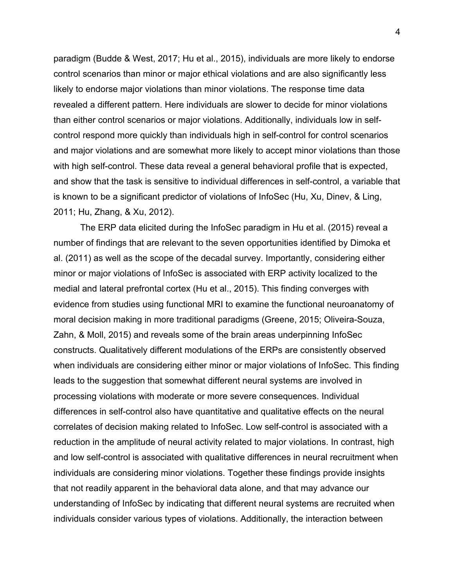paradigm (Budde & West, 2017; Hu et al., 2015), individuals are more likely to endorse control scenarios than minor or major ethical violations and are also significantly less likely to endorse major violations than minor violations. The response time data revealed a different pattern. Here individuals are slower to decide for minor violations than either control scenarios or major violations. Additionally, individuals low in selfcontrol respond more quickly than individuals high in self-control for control scenarios and major violations and are somewhat more likely to accept minor violations than those with high self-control. These data reveal a general behavioral profile that is expected, and show that the task is sensitive to individual differences in self-control, a variable that is known to be a significant predictor of violations of InfoSec (Hu, Xu, Dinev, & Ling, 2011; Hu, Zhang, & Xu, 2012).

The ERP data elicited during the InfoSec paradigm in Hu et al. (2015) reveal a number of findings that are relevant to the seven opportunities identified by Dimoka et al. (2011) as well as the scope of the decadal survey. Importantly, considering either minor or major violations of InfoSec is associated with ERP activity localized to the medial and lateral prefrontal cortex (Hu et al., 2015). This finding converges with evidence from studies using functional MRI to examine the functional neuroanatomy of moral decision making in more traditional paradigms (Greene, 2015; Oliveira-Souza, Zahn, & Moll, 2015) and reveals some of the brain areas underpinning InfoSec constructs. Qualitatively different modulations of the ERPs are consistently observed when individuals are considering either minor or major violations of InfoSec. This finding leads to the suggestion that somewhat different neural systems are involved in processing violations with moderate or more severe consequences. Individual differences in self-control also have quantitative and qualitative effects on the neural correlates of decision making related to InfoSec. Low self-control is associated with a reduction in the amplitude of neural activity related to major violations. In contrast, high and low self-control is associated with qualitative differences in neural recruitment when individuals are considering minor violations. Together these findings provide insights that not readily apparent in the behavioral data alone, and that may advance our understanding of InfoSec by indicating that different neural systems are recruited when individuals consider various types of violations. Additionally, the interaction between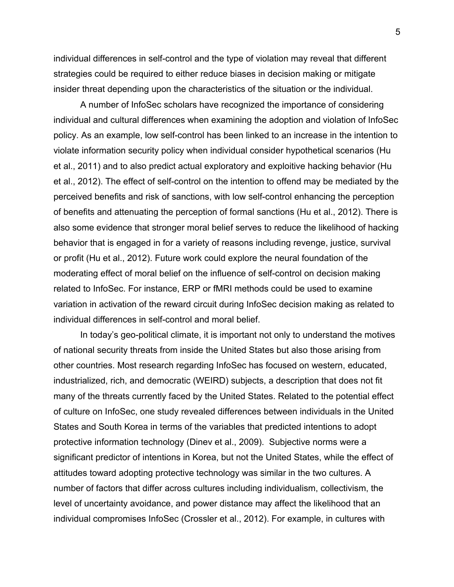individual differences in self-control and the type of violation may reveal that different strategies could be required to either reduce biases in decision making or mitigate insider threat depending upon the characteristics of the situation or the individual.

A number of InfoSec scholars have recognized the importance of considering individual and cultural differences when examining the adoption and violation of InfoSec policy. As an example, low self-control has been linked to an increase in the intention to violate information security policy when individual consider hypothetical scenarios (Hu et al., 2011) and to also predict actual exploratory and exploitive hacking behavior (Hu et al., 2012). The effect of self-control on the intention to offend may be mediated by the perceived benefits and risk of sanctions, with low self-control enhancing the perception of benefits and attenuating the perception of formal sanctions (Hu et al., 2012). There is also some evidence that stronger moral belief serves to reduce the likelihood of hacking behavior that is engaged in for a variety of reasons including revenge, justice, survival or profit (Hu et al., 2012). Future work could explore the neural foundation of the moderating effect of moral belief on the influence of self-control on decision making related to InfoSec. For instance, ERP or fMRI methods could be used to examine variation in activation of the reward circuit during InfoSec decision making as related to individual differences in self-control and moral belief.

In today's geo-political climate, it is important not only to understand the motives of national security threats from inside the United States but also those arising from other countries. Most research regarding InfoSec has focused on western, educated, industrialized, rich, and democratic (WEIRD) subjects, a description that does not fit many of the threats currently faced by the United States. Related to the potential effect of culture on InfoSec, one study revealed differences between individuals in the United States and South Korea in terms of the variables that predicted intentions to adopt protective information technology (Dinev et al., 2009). Subjective norms were a significant predictor of intentions in Korea, but not the United States, while the effect of attitudes toward adopting protective technology was similar in the two cultures. A number of factors that differ across cultures including individualism, collectivism, the level of uncertainty avoidance, and power distance may affect the likelihood that an individual compromises InfoSec (Crossler et al., 2012). For example, in cultures with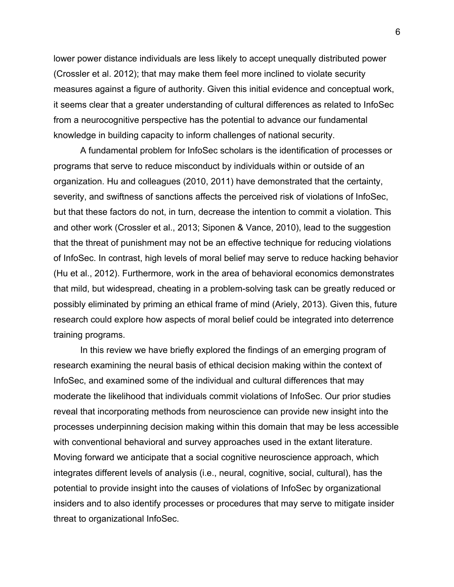lower power distance individuals are less likely to accept unequally distributed power (Crossler et al. 2012); that may make them feel more inclined to violate security measures against a figure of authority. Given this initial evidence and conceptual work, it seems clear that a greater understanding of cultural differences as related to InfoSec from a neurocognitive perspective has the potential to advance our fundamental knowledge in building capacity to inform challenges of national security.

A fundamental problem for InfoSec scholars is the identification of processes or programs that serve to reduce misconduct by individuals within or outside of an organization. Hu and colleagues (2010, 2011) have demonstrated that the certainty, severity, and swiftness of sanctions affects the perceived risk of violations of InfoSec, but that these factors do not, in turn, decrease the intention to commit a violation. This and other work (Crossler et al., 2013; Siponen & Vance, 2010), lead to the suggestion that the threat of punishment may not be an effective technique for reducing violations of InfoSec. In contrast, high levels of moral belief may serve to reduce hacking behavior (Hu et al., 2012). Furthermore, work in the area of behavioral economics demonstrates that mild, but widespread, cheating in a problem-solving task can be greatly reduced or possibly eliminated by priming an ethical frame of mind (Ariely, 2013). Given this, future research could explore how aspects of moral belief could be integrated into deterrence training programs.

In this review we have briefly explored the findings of an emerging program of research examining the neural basis of ethical decision making within the context of InfoSec, and examined some of the individual and cultural differences that may moderate the likelihood that individuals commit violations of InfoSec. Our prior studies reveal that incorporating methods from neuroscience can provide new insight into the processes underpinning decision making within this domain that may be less accessible with conventional behavioral and survey approaches used in the extant literature. Moving forward we anticipate that a social cognitive neuroscience approach, which integrates different levels of analysis (i.e., neural, cognitive, social, cultural), has the potential to provide insight into the causes of violations of InfoSec by organizational insiders and to also identify processes or procedures that may serve to mitigate insider threat to organizational InfoSec.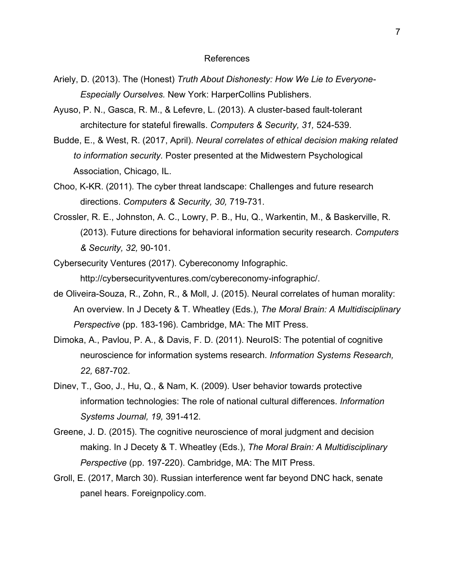#### References

- Ariely, D. (2013). The (Honest) *Truth About Dishonesty: How We Lie to Everyone-Especially Ourselves.* New York: HarperCollins Publishers.
- Ayuso, P. N., Gasca, R. M., & Lefevre, L. (2013). A cluster-based fault-tolerant architecture for stateful firewalls. *Computers & Security, 31,* 524-539.
- Budde, E., & West, R. (2017, April). *Neural correlates of ethical decision making related to information security.* Poster presented at the Midwestern Psychological Association, Chicago, IL.
- Choo, K-KR. (2011). The cyber threat landscape: Challenges and future research directions. *Computers & Security, 30,* 719-731.
- Crossler, R. E., Johnston, A. C., Lowry, P. B., Hu, Q., Warkentin, M., & Baskerville, R. (2013). Future directions for behavioral information security research. *Computers & Security, 32,* 90-101.
- Cybersecurity Ventures (2017). Cybereconomy Infographic. http://cybersecurityventures.com/cybereconomy-infographic/.
- de Oliveira-Souza, R., Zohn, R., & Moll, J. (2015). Neural correlates of human morality: An overview. In J Decety & T. Wheatley (Eds.), *The Moral Brain: A Multidisciplinary Perspective* (pp. 183-196). Cambridge, MA: The MIT Press.
- Dimoka, A., Pavlou, P. A., & Davis, F. D. (2011). NeuroIS: The potential of cognitive neuroscience for information systems research. *Information Systems Research, 22,* 687-702.
- Dinev, T., Goo, J., Hu, Q., & Nam, K. (2009). User behavior towards protective information technologies: The role of national cultural differences. *Information Systems Journal, 19,* 391-412.
- Greene, J. D. (2015). The cognitive neuroscience of moral judgment and decision making. In J Decety & T. Wheatley (Eds.), *The Moral Brain: A Multidisciplinary Perspective* (pp. 197-220). Cambridge, MA: The MIT Press.
- Groll, E. (2017, March 30). Russian interference went far beyond DNC hack, senate panel hears. Foreignpolicy.com.